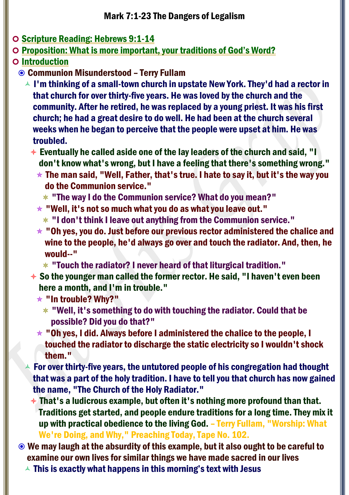#### Mark 7:1-23 The Dangers of Legalism

- O Scripture Reading: Hebrews 9:1-14
- Proposition: What is more important, your traditions of God's Word?
- **O** Introduction
	- Communion Misunderstood Terry Fullam
		- $\triangle$  I'm thinking of a small-town church in upstate New York. They'd had a rector in that church for over thirty-five years. He was loved by the church and the community. After he retired, he was replaced by a young priest. It was his first church; he had a great desire to do well. He had been at the church several weeks when he began to perceive that the people were upset at him. He was troubled.
			- $\div$  Eventually he called aside one of the lay leaders of the church and said, "I don't know what's wrong, but I have a feeling that there's something wrong."
				- $\star$  The man said. "Well, Father, that's true. I hate to say it, but it's the way you do the Communion service."
					- "The way I do the Communion service? What do you mean?"
				- $\star$  "Well, it's not so much what you do as what you leave out."
					- $*$  "I don't think I leave out anything from the Communion service."
				- $*$  "Oh yes, you do. Just before our previous rector administered the chalice and wine to the people, he'd always go over and touch the radiator. And, then, he would--"
					- "Touch the radiator? I never heard of that liturgical tradition."
			- $\div$  So the younger man called the former rector. He said. "I haven't even been here a month, and I'm in trouble."
				- $*$  "In trouble? Why?"
					- $*$  "Well, it's something to do with touching the radiator. Could that be possible? Did you do that?"
				- $\star$  "Oh yes, I did. Always before I administered the chalice to the people. I touched the radiator to discharge the static electricity so I wouldn't shock them."
		- For over thirty-five years, the untutored people of his congregation had thought that was a part of the holy tradition. I have to tell you that church has now gained the name, "The Church of the Holy Radiator."
			- $\triangle$  That's a ludicrous example, but often it's nothing more profound than that. Traditions get started, and people endure traditions for a long time. They mix it up with practical obedience to the living God. – Terry Fullam, "Worship: What We're Doing, and Why," Preaching Today, Tape No. 102.

 We may laugh at the absurdity of this example, but it also ought to be careful to examine our own lives for similar things we have made sacred in our lives

 $\triangle$  This is exactly what happens in this morning's text with Jesus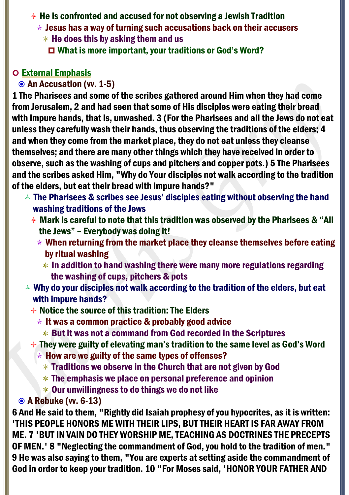- $\div$  He is confronted and accused for not observing a Jewish Tradition
	- $\star$  Jesus has a way of turning such accusations back on their accusers
		- $*$  He does this by asking them and us
		- What is more important, your traditions or God's Word?

### External Emphasis

#### **■ An Accusation (w. 1-5)**

1 The Pharisees and some of the scribes gathered around Him when they had come from Jerusalem, 2 and had seen that some of His disciples were eating their bread with impure hands, that is, unwashed. 3 (For the Pharisees and all the Jews do not eat unless they carefully wash their hands, thus observing the traditions of the elders; 4 and when they come from the market place, they do not eat unless they cleanse themselves; and there are many other things which they have received in order to observe, such as the washing of cups and pitchers and copper pots.) 5 The Pharisees and the scribes asked Him, "Why do Your disciples not walk according to the tradition of the elders, but eat their bread with impure hands?"

- $\triangle$  The Pharisees & scribes see Jesus' disciples eating without observing the hand washing traditions of the Jews
	- $\div$  Mark is careful to note that this tradition was observed by the Pharisees & "All the Jews" – Everybody was doing it!
		- $*$  When returning from the market place they cleanse themselves before eating by ritual washing
			- $*$  In addition to hand washing there were many more regulations regarding the washing of cups, pitchers & pots
- $\triangle$  Why do your disciples not walk according to the tradition of the elders, but eat with impure hands?
	- $\triangle$  Notice the source of this tradition: The Elders
		- $\star$  It was a common practice & probably good advice
			- $*$  But it was not a command from God recorded in the Scriptures
	- $\triangle$  They were guilty of elevating man's tradition to the same level as God's Word
		- $\star$  How are we guilty of the same types of offenses?
			- $*$  Traditions we observe in the Church that are not given by God
			- $*$  The emphasis we place on personal preference and opinion
			- $*$  Our unwillingness to do things we do not like
- A Rebuke (vv. 6-13)

6 And He said to them, "Rightly did Isaiah prophesy of you hypocrites, as it is written: 'THIS PEOPLE HONORS ME WITH THEIR LIPS, BUT THEIR HEART IS FAR AWAY FROM ME. 7 'BUTIN VAIN DO THEY WORSHIP ME, TEACHING AS DOCTRINES THE PRECEPTS OF MEN.' 8 "Neglecting the commandment of God, you hold to the tradition of men." 9 He was also saying to them, "You are experts at setting aside the commandment of God in order to keep your tradition. 10 "For Moses said, 'HONOR YOUR FATHER AND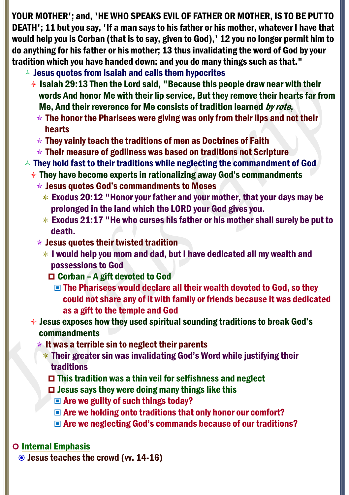YOUR MOTHER'; and, 'HE WHO SPEAKS EVIL OF FATHER OR MOTHER, IS TO BE PUT TO DEATH'; 11 but you say, 'If a man says to his father or his mother, whatever I have that would help you is Corban (that is to say, given to God),' 12 you no longer permit him to do anything for his father or his mother; 13 thus invalidating the word of God by your tradition which you have handed down; and you do many things such as that."

- $\triangle$  Jesus quotes from Isaiah and calls them hypocrites
	- $\triangleq$  Isaiah 29:13 Then the Lord said, "Because this people draw near with their words And honor Me with their lip service, But they remove their hearts far from Me, And their reverence for Me consists of tradition learned by rote,
		- $\star$  The honor the Pharisees were giving was only from their lips and not their hearts
		- $\star$  They vainly teach the traditions of men as Doctrines of Faith
		- $\star$  Their measure of godliness was based on traditions not Scripture
- $\triangle$  They hold fast to their traditions while neglecting the commandment of God
	- $\triangle$  They have become experts in rationalizing away God's commandments
		- $\star$  Jesus quotes God's commandments to Moses
			- $*$  Exodus 20:12 "Honor your father and your mother, that your days may be prolonged in the land which the LORD your God gives you.
			- $*$  Exodus 21:17 "He who curses his father or his mother shall surely be put to death.
		- $\star$  Jesus quotes their twisted tradition
			- $*$  I would help you mom and dad, but I have dedicated all my wealth and possessions to God
				- Corban A gift devoted to God
					- $\blacksquare$  The Pharisees would declare all their wealth devoted to God, so they could not share any of it with family or friends because it was dedicated as a gift to the temple and God
	- $\triangleq$  Jesus exposes how they used spiritual sounding traditions to break God's commandments
		- $\star$  It was a terrible sin to neglect their parents
			- $*$  Their greater sin was invalidating God's Word while justifying their traditions
				- This tradition was a thin veil for selfishness and neglect
				- $\Box$  Jesus says they were doing many things like this
					- Are we guilty of such things today?
					- **Are we holding onto traditions that only honor our comfort?**
					- **Are we neglecting God's commands because of our traditions?**

# **O** Internal Emphasis

Jesus teaches the crowd (vv. 14-16)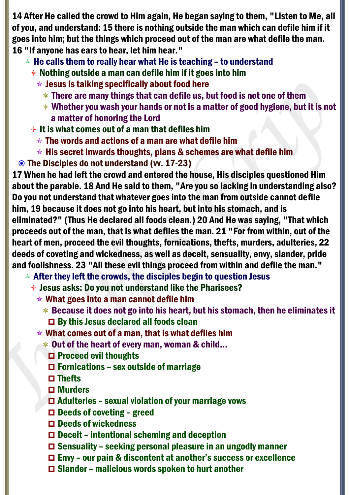14 After He called the crowd to Him again, He began saying to them, "Listen to Me, all of you, and understand: 15 there is nothing outside the man which can defile him if it goes into him; but the things which proceed out of the man are what defile the man. 16 "If anyone has ears to hear, let him hear."

- $\triangle$  He calls them to really hear what He is teaching to understand
	- $\triangle$  Nothing outside a man can defile him if it goes into him
		- $\star$  Jesus is talking specifically about food here
			- $*$  There are many things that can defile us, but food is not one of them
			- $*$  Whether you wash your hands or not is a matter of good hygiene, but it is not a matter of honoring the Lord
	- $\triangleq$  It is what comes out of a man that defiles him
		- $\star$  The words and actions of a man are what defile him
		- $\star$  His secret inwards thoughts, plans & schemes are what defile him
- The Disciples do not understand (vv. 17-23)

17 When he had left the crowd and entered the house, His disciples questioned Him about the parable. 18 And He said to them, "Are you so lacking in understanding also? Do you not understand that whatever goes into the man from outside cannot defile him, 19 because it does not go into his heart, but into his stomach, and is eliminated?" (Thus He declared all foods clean.) 20 And He was saying, "That which proceeds out of the man, that is what defiles the man. 21 "For from within, out of the heart of men, proceed the evil thoughts, fornications, thefts, murders, adulteries, 22 deeds of coveting and wickedness, as well as deceit, sensuality, envy, slander, pride and foolishness. 23 "All these evil things proceed from within and defile the man."

- $\overline{\phantom{a}}$  After they left the crowds, the disciples begin to question Jesus
	- $\div$  Jesus asks: Do you not understand like the Pharisees?
		- $\star$  What goes into a man cannot defile him
			- $*$  Because it does not go into his heart, but his stomach, then he eliminates it By this Jesus declared all foods clean
		- $\star$  What comes out of a man, that is what defiles him
			- $*$  Out of the heart of every man, woman & child...
			- Proceed evil thoughts
			- Fornications sex outside of marriage
			- $\square$  Thefts
			- □ Murders
			- $\Box$  Adulteries sexual violation of your marriage vows
			- $\Box$  Deeds of coveting greed
			- Deeds of wickedness
			- $\Box$  Deceit intentional scheming and deception
			- $\square$  Sensuality seeking personal pleasure in an ungodly manner
			- Envy our pain & discontent at another's success or excellence
			- $\square$  Slander malicious words spoken to hurt another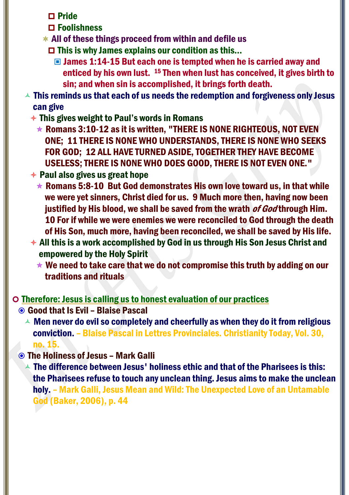- □ Pride
- Foolishness
- $*$  All of these things proceed from within and defile us
	- $\square$  This is why James explains our condition as this...
		- James 1:14-15 But each one is tempted when he is carried away and enticed by his own lust. <sup>15</sup> Then when lust has conceived, it gives birth to sin; and when sin is accomplished, it brings forth death.
- $\triangle$  This reminds us that each of us needs the redemption and forgiveness only Jesus can give
	- $\triangle$  This gives weight to Paul's words in Romans
		- $*$  Romans 3:10-12 as it is written, "THERE IS NONE RIGHTEOUS, NOT EVEN ONE; 11 THERE IS NONE WHO UNDERSTANDS, THERE IS NONE WHO SEEKS FOR GOD; 12 ALL HAVE TURNED ASIDE, TOGETHER THEY HAVE BECOME USELESS; THERE IS NONE WHO DOES GOOD, THERE IS NOT EVEN ONE."
	- $\triangle$  Paul also gives us great hope
		- $*$  Romans 5:8-10 But God demonstrates His own love toward us, in that while we were yet sinners, Christ died for us. 9 Much more then, having now been justified by His blood, we shall be saved from the wrath *of God* through Him. 10 For if while we were enemies we were reconciled to God through the death of His Son, much more, having been reconciled, we shall be saved by His life.
	- $\triangle$  All this is a work accomplished by God in us through His Son Jesus Christ and empowered by the Holy Spirit
		- $\star$  We need to take care that we do not compromise this truth by adding on our traditions and rituals

#### Therefore: Jesus is calling us to honest evaluation of our practices Good that Is Evil – Blaise Pascal

- $\triangle$  Men never do evil so completely and cheerfully as when they do it from religious conviction. – Blaise Pascal in Lettres Provinciales. Christianity Today, Vol. 30, no. 15.
- The Holiness of Jesus Mark Galli
	- $\triangle$  The difference between Jesus' holiness ethic and that of the Pharisees is this: the Pharisees refuse to touch any unclean thing. Jesus aims to make the unclean holy. – Mark Galli, Jesus Mean and Wild: The Unexpected Love of an Untamable God (Baker, 2006), p. 44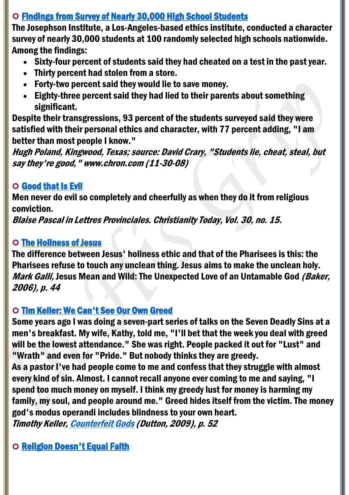## [Findings from Survey of Nearly 30,000 High School Students](http://www.preachingtoday.com/illustrations/2009/january/2010509.html)

The Josephson Institute, a Los-Angeles-based ethics institute, conducted a character survey of nearly 30,000 students at 100 randomly selected high schools nationwide. Among the findings:

- Sixty-four percent of students said they had cheated on a test in the past year.
- Thirty percent had stolen from a store.
- Forty-two percent said they would lie to save money.
- Eighty-three percent said they had lied to their parents about something significant.

Despite their transgressions, 93 percent of the students surveyed said they were satisfied with their personal ethics and character, with 77 percent adding, "I am better than most people I know."

Hugh Poland, Kingwood, Texas; source: David Crary, "Students lie, cheat, steal, but say they're good," www.chron.com (11-30-08)

## [Good that Is Evil](http://www.preachingtoday.com/illustrations/1998/july/3880.html)

Men never do evil so completely and cheerfully as when they do it from religious conviction.

Blaise Pascal in Lettres Provinciales. Christianity Today, Vol. 30, no. 15.

# [The Holiness of Jesus](http://www.preachingtoday.com/illustrations/2008/january/3010708.html)

The difference between Jesus' holiness ethic and that of the Pharisees is this: the Pharisees refuse to touch any unclean thing. Jesus aims to make the unclean holy. Mark Galli, Jesus Mean and Wild: The Unexpected Love of an Untamable God (Baker, 2006), p. 44

## [Tim Keller: We Can't See Our Own Greed](http://www.preachingtoday.com/illustrations/2011/march/6030711.html)

Some years ago I was doing a seven-part series of talks on the Seven Deadly Sins at a men's breakfast. My wife, Kathy, told me, "I'll bet that the week you deal with greed will be the lowest attendance." She was right. People packed it out for "Lust" and "Wrath" and even for "Pride." But nobody thinks they are greedy.

As a pastor I've had people come to me and confess that they struggle with almost every kind of sin. Almost. I cannot recall anyone ever coming to me and saying, "I spend too much money on myself. I think my greedy lust for money is harming my family, my soul, and people around me." Greed hides itself from the victim. The money god's modus operandi includes blindness to your own heart. Timothy Keller, [Counterfeit Gods](http://www.christianbook.com/Christian/Books/product?item_no=951360&p=1022189) (Dutton, 2009), p. 52

# **O Religion Doesn't Equal Faith**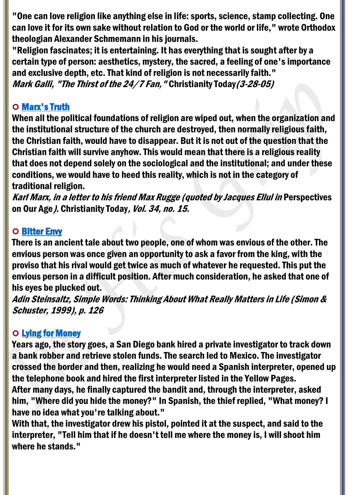"One can love religion like anything else in life: sports, science, stamp collecting. One can love it for its own sake without relation to God or the world or life," wrote Orthodox theologian Alexander Schmemann in his journals.

"Religion fascinates; it is entertaining. It has everything that is sought after by a certain type of person: aesthetics, mystery, the sacred, a feeling of one's importance and exclusive depth, etc. That kind of religion is not necessarily faith." Mark Galli, "The Thirst of the 24/7 Fan," Christianity Today (3-28-05)

### [Marx's Truth](http://www.preachingtoday.com/illustrations/1998/january/2826.html)

When all the political foundations of religion are wiped out, when the organization and the institutional structure of the church are destroyed, then normally religious faith, the Christian faith, would have to disappear. But it is not out of the question that the Christian faith will survive anyhow. This would mean that there is a religious reality that does not depend solely on the sociological and the institutional; and under these conditions, we would have to heed this reality, which is not in the category of traditional religion.

Karl Marx, in a letter to his friend Max Rugge (quoted by Jacques Ellul in Perspectives on Our Age). Christianity Today, Vol. 34, no. 15.

### **O Bitter Envy**

There is an ancient tale about two people, one of whom was envious of the other. The envious person was once given an opportunity to ask a favor from the king, with the proviso that his rival would get twice as much of whatever he requested. This put the envious person in a difficult position. After much consideration, he asked that one of his eyes be plucked out.

Adin Steinsaltz, Simple Words: Thinking About What Really Matters in Life (Simon & Schuster, 1999), p. 126

## [Lying for Money](http://www.preachingtoday.com/illustrations/2000/september/12612.html)

Years ago, the story goes, a San Diego bank hired a private investigator to track down a bank robber and retrieve stolen funds. The search led to Mexico. The investigator crossed the border and then, realizing he would need a Spanish interpreter, opened up the telephone book and hired the first interpreter listed in the Yellow Pages. After many days, he finally captured the bandit and, through the interpreter, asked him, "Where did you hide the money?" In Spanish, the thief replied, "What money? I have no idea what you're talking about."

With that, the investigator drew his pistol, pointed it at the suspect, and said to the interpreter, "Tell him that if he doesn't tell me where the money is, I will shoot him where he stands."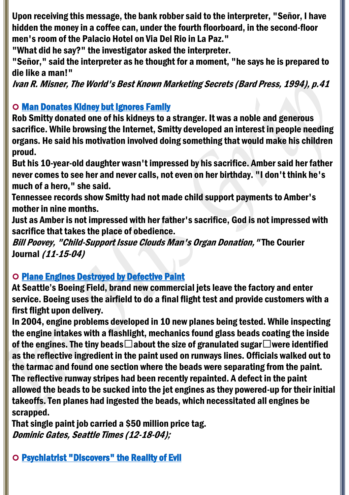Upon receiving this message, the bank robber said to the interpreter, "Señor, I have hidden the money in a coffee can, under the fourth floorboard, in the second-floor men's room of the Palacio Hotel on Via Del Rio in La Paz."

"What did he say?" the investigator asked the interpreter.

"Señor," said the interpreter as he thought for a moment, "he says he is prepared to die like a man!"

Ivan R. Misner, The World's Best Known Marketing Secrets (Bard Press, 1994), p.41

# **O Man Donates Kidney but Ignores Family**

Rob Smitty donated one of his kidneys to a stranger. It was a noble and generous sacrifice. While browsing the Internet, Smitty developed an interest in people needing organs. He said his motivation involved doing something that would make his children proud.

But his 10-year-old daughter wasn't impressed by his sacrifice. Amber said her father never comes to see her and never calls, not even on her birthday. "I don't think he's much of a hero," she said.

Tennessee records show Smitty had not made child support payments to Amber's mother in nine months.

Just as Amber is not impressed with her father's sacrifice, God is not impressed with sacrifice that takes the place of obedience.

Bill Poovey, "Child-Support Issue Clouds Man's Organ Donation," The Courier Journal (11-15-04)

## [Plane Engines Destroyed by Defective Paint](http://www.preachingtoday.com/illustrations/2005/february/15800.html)

At Seattle's Boeing Field, brand new commercial jets leave the factory and enter service. Boeing uses the airfield to do a final flight test and provide customers with a first flight upon delivery.

In 2004, engine problems developed in 10 new planes being tested. While inspecting the engine intakes with a flashlight, mechanics found glass beads coating the inside of the engines. The tiny beads— about the size of granulated sugar— were identified as the reflective ingredient in the paint used on runways lines. Officials walked out to the tarmac and found one section where the beads were separating from the paint. The reflective runway stripes had been recently repainted. A defect in the paint allowed the beads to be sucked into the jet engines as they powered-up for their initial takeoffs. Ten planes had ingested the beads, which necessitated all engines be scrapped.

That single paint job carried a \$50 million price tag. Dominic Gates, Seattle Times (12-18-04);

[Psychiatrist "Discovers" the Reality of Evil](http://www.preachingtoday.com/illustrations/2012/june/2061812.html)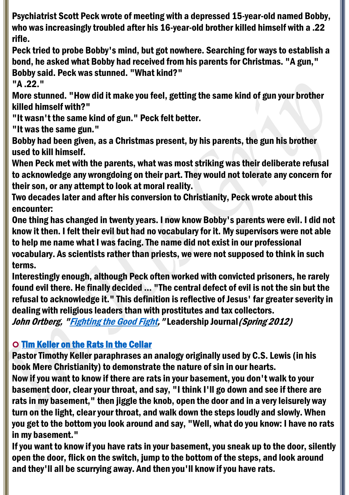Psychiatrist Scott Peck wrote of meeting with a depressed 15-year-old named Bobby, who was increasingly troubled after his 16-year-old brother killed himself with a .22 rifle.

Peck tried to probe Bobby's mind, but got nowhere. Searching for ways to establish a bond, he asked what Bobby had received from his parents for Christmas. "A gun," Bobby said. Peck was stunned. "What kind?"

"A .22."

More stunned. "How did it make you feel, getting the same kind of gun your brother killed himself with?"

"It wasn't the same kind of gun." Peck felt better.

"It was the same gun."

Bobby had been given, as a Christmas present, by his parents, the gun his brother used to kill himself.

When Peck met with the parents, what was most striking was their deliberate refusal to acknowledge any wrongdoing on their part. They would not tolerate any concern for their son, or any attempt to look at moral reality.

Two decades later and after his conversion to Christianity, Peck wrote about this encounter:

One thing has changed in twenty years. I now know Bobby's parents were evil. I did not know it then. I felt their evil but had no vocabulary for it. My supervisors were not able to help me name what I was facing. The name did not exist in our professional vocabulary. As scientists rather than priests, we were not supposed to think in such terms.

Interestingly enough, although Peck often worked with convicted prisoners, he rarely found evil there. He finally decided … "The central defect of evil is not the sin but the refusal to acknowledge it." This definition is reflective of Jesus' far greater severity in dealing with religious leaders than with prostitutes and tax collectors.

John Ortberg, ["Fighting the Good Fight,](http://www.christianitytoday.com/le/2012/spring/goodfight.html)" Leadership Journal (Spring 2012)

# [Tim Keller on the Rats in the Cellar](http://www.preachingtoday.com/illustrations/2015/february/4020215.html)

Pastor Timothy Keller paraphrases an analogy originally used by C.S. Lewis (in his book Mere Christianity) to demonstrate the nature of sin in our hearts.

Now if you want to know if there are rats in your basement, you don't walk to your basement door, clear your throat, and say, "I think I'll go down and see if there are rats in my basement," then jiggle the knob, open the door and in a very leisurely way turn on the light, clear your throat, and walk down the steps loudly and slowly. When you get to the bottom you look around and say, "Well, what do you know: I have no rats in my basement."

If you want to know if you have rats in your basement, you sneak up to the door, silently open the door, flick on the switch, jump to the bottom of the steps, and look around and they'll all be scurrying away. And then you'll know if you have rats.